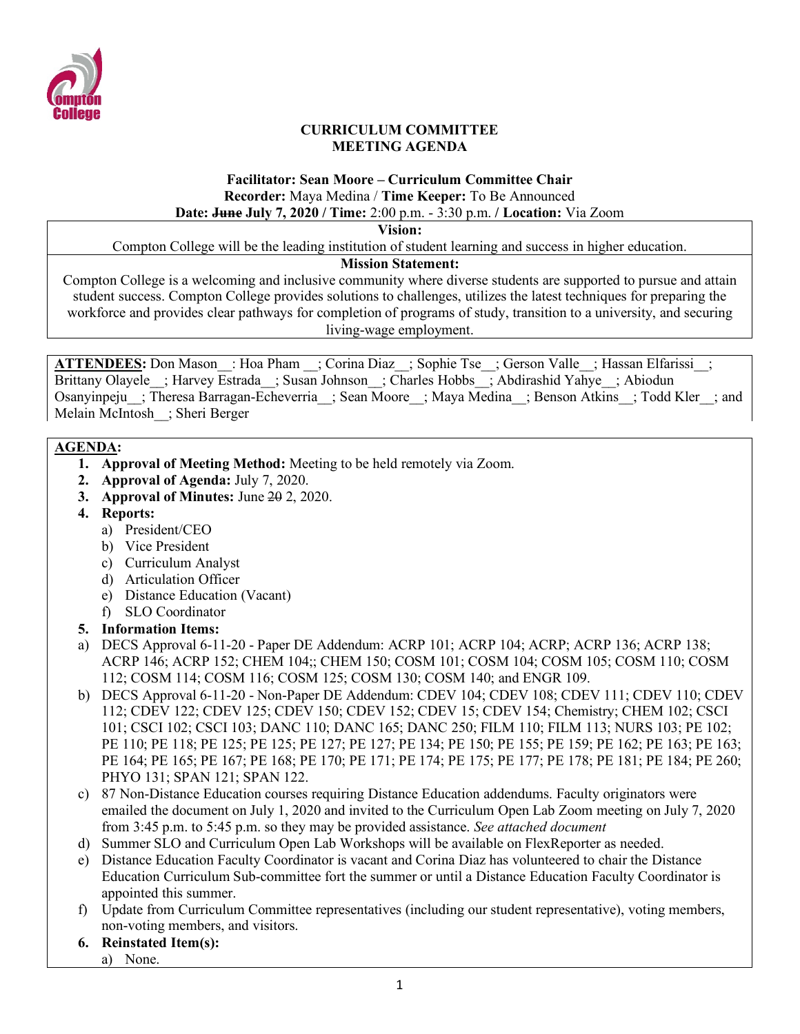

### **CURRICULUM COMMITTEE MEETING AGENDA**

# **Facilitator: Sean Moore – Curriculum Committee Chair Recorder:** Maya Medina / **Time Keeper:** To Be Announced

# **Date: June July 7, 2020 / Time:** 2:00 p.m. - 3:30 p.m. **/ Location:** Via Zoom

**Vision:**

Compton College will be the leading institution of student learning and success in higher education.

### **Mission Statement:**

Compton College is a welcoming and inclusive community where diverse students are supported to pursue and attain student success. Compton College provides solutions to challenges, utilizes the latest techniques for preparing the workforce and provides clear pathways for completion of programs of study, transition to a university, and securing living-wage employment.

ATTENDEES: Don Mason : Hoa Pham ; Corina Diaz ; Sophie Tse ; Gerson Valle ; Hassan Elfarissi ; Brittany Olayele ; Harvey Estrada ; Susan Johnson ; Charles Hobbs ; Abdirashid Yahye ; Abiodun Osanyinpeju ; Theresa Barragan-Echeverria ; Sean Moore ; Maya Medina ; Benson Atkins ; Todd Kler ; and Melain McIntosh\_\_; Sheri Berger

## **AGENDA:**

- **1. Approval of Meeting Method:** Meeting to be held remotely via Zoom.
- **2. Approval of Agenda:** July 7, 2020.
- **3. Approval of Minutes:** June 20 2, 2020.
- **4. Reports:**
	- a) President/CEO
	- b) Vice President
	- c) Curriculum Analyst
	- d) Articulation Officer
	- e) Distance Education (Vacant)
	- f) SLO Coordinator

# **5. Information Items:**

- a) DECS Approval 6-11-20 Paper DE Addendum: ACRP 101; ACRP 104; ACRP; ACRP 136; ACRP 138; ACRP 146; ACRP 152; CHEM 104;; CHEM 150; COSM 101; COSM 104; COSM 105; COSM 110; COSM 112; COSM 114; COSM 116; COSM 125; COSM 130; COSM 140; and ENGR 109.
- b) DECS Approval 6-11-20 Non-Paper DE Addendum: CDEV 104; CDEV 108; CDEV 111; CDEV 110; CDEV 112; CDEV 122; CDEV 125; CDEV 150; CDEV 152; CDEV 15; CDEV 154; Chemistry; CHEM 102; CSCI 101; CSCI 102; CSCI 103; DANC 110; DANC 165; DANC 250; FILM 110; FILM 113; NURS 103; PE 102; PE 110; PE 118; PE 125; PE 125; PE 127; PE 127; PE 134; PE 150; PE 155; PE 159; PE 162; PE 163; PE 163; PE 164; PE 165; PE 167; PE 168; PE 170; PE 171; PE 174; PE 175; PE 177; PE 178; PE 181; PE 184; PE 260; PHYO 131; SPAN 121; SPAN 122.
- c) 87 Non-Distance Education courses requiring Distance Education addendums. Faculty originators were emailed the document on July 1, 2020 and invited to the Curriculum Open Lab Zoom meeting on July 7, 2020 from 3:45 p.m. to 5:45 p.m. so they may be provided assistance. *See attached document*
- d) Summer SLO and Curriculum Open Lab Workshops will be available on FlexReporter as needed.
- e) Distance Education Faculty Coordinator is vacant and Corina Diaz has volunteered to chair the Distance Education Curriculum Sub-committee fort the summer or until a Distance Education Faculty Coordinator is appointed this summer.
- f) Update from Curriculum Committee representatives (including our student representative), voting members, non-voting members, and visitors.
- **6. Reinstated Item(s):**
	- a) None.